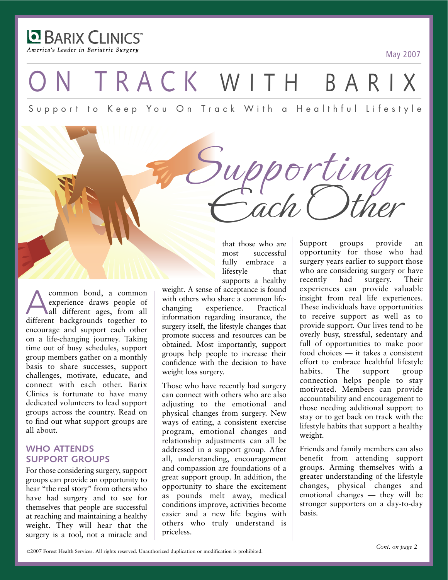**E BARIX CLINICS** America's Leader in Bariatric Surgery

May 2007

TRACK WITH BAR

Support to Keep You On Track With a Healthful Lifestyle

common bond, a common<br>experience draws people of<br>all different backgrounds together to experience draws people of all different ages, from all different backgrounds together to encourage and support each other on a life-changing journey. Taking time out of busy schedules, support group members gather on a monthly basis to share successes, support challenges, motivate, educate, and connect with each other. Barix Clinics is fortunate to have many dedicated volunteers to lead support groups across the country. Read on to find out what support groups are all about.

## **WHO ATTENDS SUPPORT GROUPS**

For those considering surgery, support groups can provide an opportunity to hear "the real story" from others who have had surgery and to see for themselves that people are successful at reaching and maintaining a healthy weight. They will hear that the surgery is a tool, not a miracle and that those who are most successful fully embrace a lifestyle that supports a healthy

Each Other

Supporting

weight. A sense of acceptance is found with others who share a common lifechanging experience. Practical information regarding insurance, the surgery itself, the lifestyle changes that promote success and resources can be obtained. Most importantly, support groups help people to increase their confidence with the decision to have weight loss surgery.

Those who have recently had surgery can connect with others who are also adjusting to the emotional and physical changes from surgery. New ways of eating, a consistent exercise program, emotional changes and relationship adjustments can all be addressed in a support group. After all, understanding, encouragement and compassion are foundations of a great support group. In addition, the opportunity to share the excitement as pounds melt away, medical conditions improve, activities become easier and a new life begins with others who truly understand is priceless.

Support groups provide an opportunity for those who had surgery years earlier to support those who are considering surgery or have recently had surgery. Their experiences can provide valuable insight from real life experiences. These individuals have opportunities to receive support as well as to provide support. Our lives tend to be overly busy, stressful, sedentary and full of opportunities to make poor food choices — it takes a consistent effort to embrace healthful lifestyle<br>habits. The support group habits. The support group connection helps people to stay motivated. Members can provide accountability and encouragement to those needing additional support to stay or to get back on track with the lifestyle habits that support a healthy weight.

Friends and family members can also benefit from attending support groups. Arming themselves with a greater understanding of the lifestyle changes, physical changes and emotional changes — they will be stronger supporters on a day-to-day basis.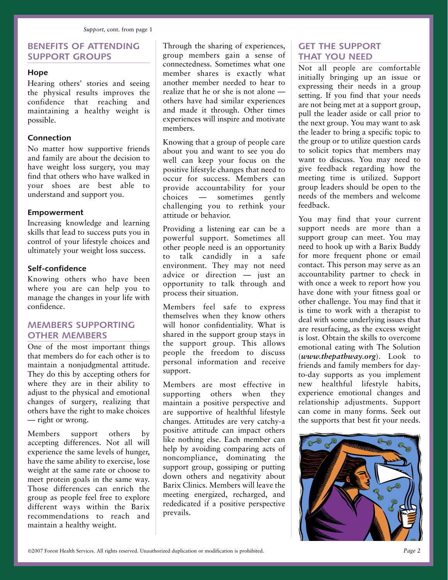## **BENEFITS OF ATTENDING SUPPORT GROUPS**

#### **Hope**

Hearing others' stories and seeing the physical results improves the confidence that reaching and maintaining a healthy weight is possible.

### **Connection**

No matter how supportive friends and family are about the decision to have weight loss surgery, you may find that others who have walked in your shoes are best able to understand and support you.

#### **Empowerment**

Increasing knowledge and learning skills that lead to success puts you in control of your lifestyle choices and ultimately your weight loss success.

#### **Self-confidence**

Knowing others who have been where you are can help you to manage the changes in your life with confidence.

## **MEMBERS SUPPORTING OTHER MEMBERS**

One of the most important things that members do for each other is to maintain a nonjudgmental attitude. They do this by accepting others for where they are in their ability to adjust to the physical and emotional changes of surgery, realizing that others have the right to make choices — right or wrong.

Members support others by accepting differences. Not all will experience the same levels of hunger, have the same ability to exercise, lose weight at the same rate or choose to meet protein goals in the same way. Those differences can enrich the group as people feel free to explore different ways within the Barix recommendations to reach and maintain a healthy weight.

Through the sharing of experiences, group members gain a sense of connectedness. Sometimes what one member shares is exactly what another member needed to hear to realize that he or she is not alone others have had similar experiences and made it through. Other times experiences will inspire and motivate members.

Knowing that a group of people care about you and want to see you do well can keep your focus on the positive lifestyle changes that need to occur for success. Members can provide accountability for your choices — sometimes gently challenging you to rethink your attitude or behavior.

Providing a listening ear can be a powerful support. Sometimes all other people need is an opportunity to talk candidly in a safe environment. They may not need advice or direction — just an opportunity to talk through and process their situation.

Members feel safe to express themselves when they know others will honor confidentiality. What is shared in the support group stays in the support group. This allows people the freedom to discuss personal information and receive support.

Members are most effective in supporting others when they maintain a positive perspective and are supportive of healthful lifestyle changes. Attitudes are very catchy-a positive attitude can impact others like nothing else. Each member can help by avoiding comparing acts of noncompliance, dominating the support group, gossiping or putting down others and negativity about Barix Clinics. Members will leave the meeting energized, recharged, and rededicated if a positive perspective prevails.

## **GET THE SUPPORT THAT YOU NEED**

Not all people are comfortable initially bringing up an issue or expressing their needs in a group setting. If you find that your needs are not being met at a support group, pull the leader aside or call prior to the next group. You may want to ask the leader to bring a specific topic to the group or to utilize question cards to solicit topics that members may want to discuss. You may need to give feedback regarding how the meeting time is utilized. Support group leaders should be open to the needs of the members and welcome feedback.

You may find that your current support needs are more than a support group can meet. You may need to hook up with a Barix Buddy for more frequent phone or email contact. This person may serve as an accountability partner to check in with once a week to report how you have done with your fitness goal or other challenge. You may find that it is time to work with a therapist to deal with some underlying issues that are resurfacing, as the excess weight is lost. Obtain the skills to overcome emotional eating with The Solution (*www.thepathway.org*). Look to friends and family members for dayto-day supports as you implement new healthful lifestyle habits, experience emotional changes and relationship adjustments. Support can come in many forms. Seek out the supports that best fit your needs.

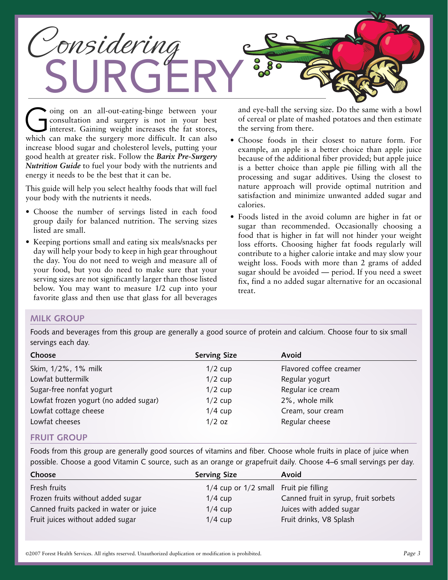

Going on an all-out-eating-binge between your<br>consultation and surgery is not in your best<br>interest. Gaining weight increases the fat stores,<br>which can make the surgery more difficult. It can also consultation and surgery is not in your best interest. Gaining weight increases the fat stores, which can make the surgery more difficult. It can also increase blood sugar and cholesterol levels, putting your good health at greater risk. Follow the *Barix Pre-Surgery Nutrition Guide* to fuel your body with the nutrients and energy it needs to be the best that it can be.

This guide will help you select healthy foods that will fuel your body with the nutrients it needs.

- Choose the number of servings listed in each food group daily for balanced nutrition. The serving sizes listed are small.
- Keeping portions small and eating six meals/snacks per day will help your body to keep in high gear throughout the day. You do not need to weigh and measure all of your food, but you do need to make sure that your serving sizes are not significantly larger than those listed below. You may want to measure 1/2 cup into your favorite glass and then use that glass for all beverages

and eye-ball the serving size. Do the same with a bowl of cereal or plate of mashed potatoes and then estimate the serving from there.

- Choose foods in their closest to nature form. For example, an apple is a better choice than apple juice because of the additional fiber provided; but apple juice is a better choice than apple pie filling with all the processing and sugar additives. Using the closest to nature approach will provide optimal nutrition and satisfaction and minimize unwanted added sugar and calories.
- Foods listed in the avoid column are higher in fat or sugar than recommended. Occasionally choosing a food that is higher in fat will not hinder your weight loss efforts. Choosing higher fat foods regularly will contribute to a higher calorie intake and may slow your weight loss. Foods with more than 2 grams of added sugar should be avoided — period. If you need a sweet fix, find a no added sugar alternative for an occasional treat.

## **MILK GROUP**

Foods and beverages from this group are generally a good source of protein and calcium. Choose four to six small servings each day.

| Choose                                | <b>Serving Size</b> | Avoid                   |  |
|---------------------------------------|---------------------|-------------------------|--|
| Skim, 1/2%, 1% milk                   | $1/2$ cup           | Flavored coffee creamer |  |
| Lowfat buttermilk                     | $1/2$ cup           | Regular yogurt          |  |
| Sugar-free nonfat yogurt              | $1/2$ cup           | Regular ice cream       |  |
| Lowfat frozen yogurt (no added sugar) | $1/2$ cup           | 2%, whole milk          |  |
| Lowfat cottage cheese                 | $1/4$ cup           | Cream, sour cream       |  |
| Lowfat cheeses                        | $1/2$ oz            | Regular cheese          |  |
| <b>FRUIT CRAUD</b>                    |                     |                         |  |

### **FRUIT GROUP**

Foods from this group are generally good sources of vitamins and fiber. Choose whole fruits in place of juice when possible. Choose a good Vitamin C source, such as an orange or grapefruit daily. Choose 4–6 small servings per day.

| Choose                                 | <b>Serving Size</b>                    | Avoid                                |
|----------------------------------------|----------------------------------------|--------------------------------------|
| Fresh fruits                           | 1/4 cup or 1/2 small Fruit pie filling |                                      |
| Frozen fruits without added sugar      | $1/4$ cup                              | Canned fruit in syrup, fruit sorbets |
| Canned fruits packed in water or juice | $1/4$ cup                              | Juices with added sugar              |
| Fruit juices without added sugar       | $1/4$ cup                              | Fruit drinks, V8 Splash              |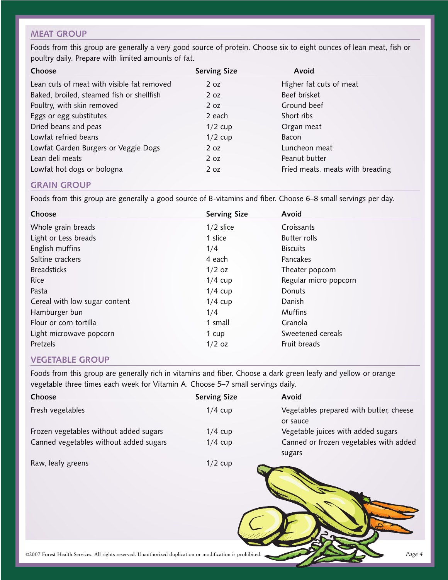## **MEAT GROUP**

Foods from this group are generally a very good source of protein. Choose six to eight ounces of lean meat, fish or poultry daily. Prepare with limited amounts of fat.

| Choose                                     | <b>Serving Size</b> | Avoid                            |
|--------------------------------------------|---------------------|----------------------------------|
| Lean cuts of meat with visible fat removed | 2 oz                | Higher fat cuts of meat          |
| Baked, broiled, steamed fish or shellfish  | 2 oz                | Beef brisket                     |
| Poultry, with skin removed                 | 2 <sub>oz</sub>     | Ground beef                      |
| Eggs or egg substitutes                    | 2 each              | Short ribs                       |
| Dried beans and peas                       | $1/2$ cup           | Organ meat                       |
| Lowfat refried beans                       | $1/2$ cup           | Bacon                            |
| Lowfat Garden Burgers or Veggie Dogs       | 2 oz                | Luncheon meat                    |
| Lean deli meats                            | 2 oz                | Peanut butter                    |
| Lowfat hot dogs or bologna                 | 2 oz                | Fried meats, meats with breading |

## **GRAIN GROUP**

Foods from this group are generally a good source of B-vitamins and fiber. Choose 6–8 small servings per day.

| Choose                        | <b>Serving Size</b> | Avoid                 |
|-------------------------------|---------------------|-----------------------|
| Whole grain breads            | $1/2$ slice         | Croissants            |
| Light or Less breads          | 1 slice             | <b>Butter rolls</b>   |
| English muffins               | 1/4                 | <b>Biscuits</b>       |
| Saltine crackers              | 4 each              | Pancakes              |
| <b>Breadsticks</b>            | $1/2$ oz            | Theater popcorn       |
| <b>Rice</b>                   | $1/4$ cup           | Regular micro popcorn |
| Pasta                         | $1/4$ cup           | Donuts                |
| Cereal with low sugar content | $1/4$ cup           | Danish                |
| Hamburger bun                 | 1/4                 | <b>Muffins</b>        |
| Flour or corn tortilla        | 1 small             | Granola               |
| Light microwave popcorn       | 1 cup               | Sweetened cereals     |
| Pretzels                      | $1/2$ oz            | Fruit breads          |

## **VEGETABLE GROUP**

Foods from this group are generally rich in vitamins and fiber. Choose a dark green leafy and yellow or orange vegetable three times each week for Vitamin A. Choose 5–7 small servings daily.

| Choose                                                                                                     | <b>Serving Size</b> | Avoid                                               |
|------------------------------------------------------------------------------------------------------------|---------------------|-----------------------------------------------------|
| Fresh vegetables                                                                                           | $1/4$ cup           | Vegetables prepared with butter, cheese<br>or sauce |
| Frozen vegetables without added sugars                                                                     | $1/4$ cup           | Vegetable juices with added sugars                  |
| Canned vegetables without added sugars                                                                     | $1/4$ cup           | Canned or frozen vegetables with added<br>sugars    |
| Raw, leafy greens                                                                                          | $1/2$ cup           |                                                     |
| ©2007 Forest Health Services. All rights reserved. Unauthorized duplication or modification is prohibited. |                     | Page 4                                              |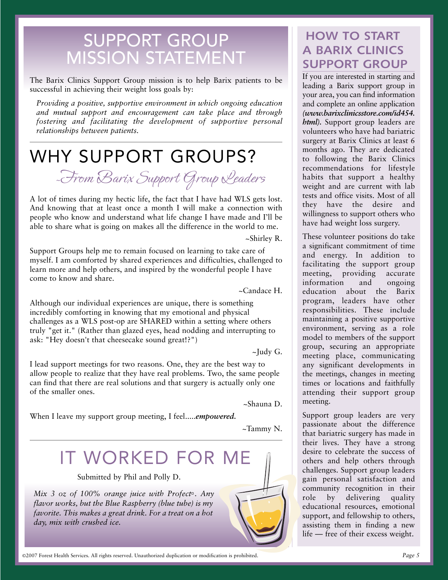## SUPPORT GROUP MISSION STATEMENT

The Barix Clinics Support Group mission is to help Barix patients to be successful in achieving their weight loss goals by:

*Providing a positive, supportive environment in which ongoing education and mutual support and encouragement can take place and through fostering and facilitating the development of supportive personal relationships between patients.*

## WHY SUPPORT GROUPS?

<sup>~</sup>From Barix Support Group Leaders

A lot of times during my hectic life, the fact that I have had WLS gets lost. And knowing that at least once a month I will make a connection with people who know and understand what life change I have made and I'll be able to share what is going on makes all the difference in the world to me.

~Shirley R.

Support Groups help me to remain focused on learning to take care of myself. I am comforted by shared experiences and difficulties, challenged to learn more and help others, and inspired by the wonderful people I have come to know and share.

~Candace H.

Although our individual experiences are unique, there is something incredibly comforting in knowing that my emotional and physical challenges as a WLS post-op are SHARED within a setting where others truly "get it." (Rather than glazed eyes, head nodding and interrupting to ask: "Hey doesn't that cheesecake sound great!?")

 $\sim$ Judy G.

I lead support meetings for two reasons. One, they are the best way to allow people to realize that they have real problems. Two, the same people can find that there are real solutions and that surgery is actually only one of the smaller ones.

~Shauna D.

When I leave my support group meeting, I feel.....*empowered.*

~Tammy N.



## **HOW TO START A BARIX CLINICS SUPPORT GROUP**

If you are interested in starting and leading a Barix support group in your area, you can find information and complete an online application *(www.barixclinicsstore.com/id454. html*). Support group leaders are volunteers who have had bariatric surgery at Barix Clinics at least 6 months ago. They are dedicated to following the Barix Clinics recommendations for lifestyle habits that support a healthy weight and are current with lab tests and office visits. Most of all they have the desire and willingness to support others who have had weight loss surgery.

These volunteer positions do take a significant commitment of time and energy. In addition to facilitating the support group meeting, providing accurate information and ongoing education about the Barix program, leaders have other responsibilities. These include maintaining a positive supportive environment, serving as a role model to members of the support group, securing an appropriate meeting place, communicating any significant developments in the meetings, changes in meeting times or locations and faithfully attending their support group meeting.

Support group leaders are very passionate about the difference that bariatric surgery has made in their lives. They have a strong desire to celebrate the success of others and help others through challenges. Support group leaders gain personal satisfaction and community recognition in their role by delivering quality educational resources, emotional support, and fellowship to others, assisting them in finding a new life — free of their excess weight.

©2007 Forest Health Services. All rights reserved. Unauthorized duplication or modification is prohibited.